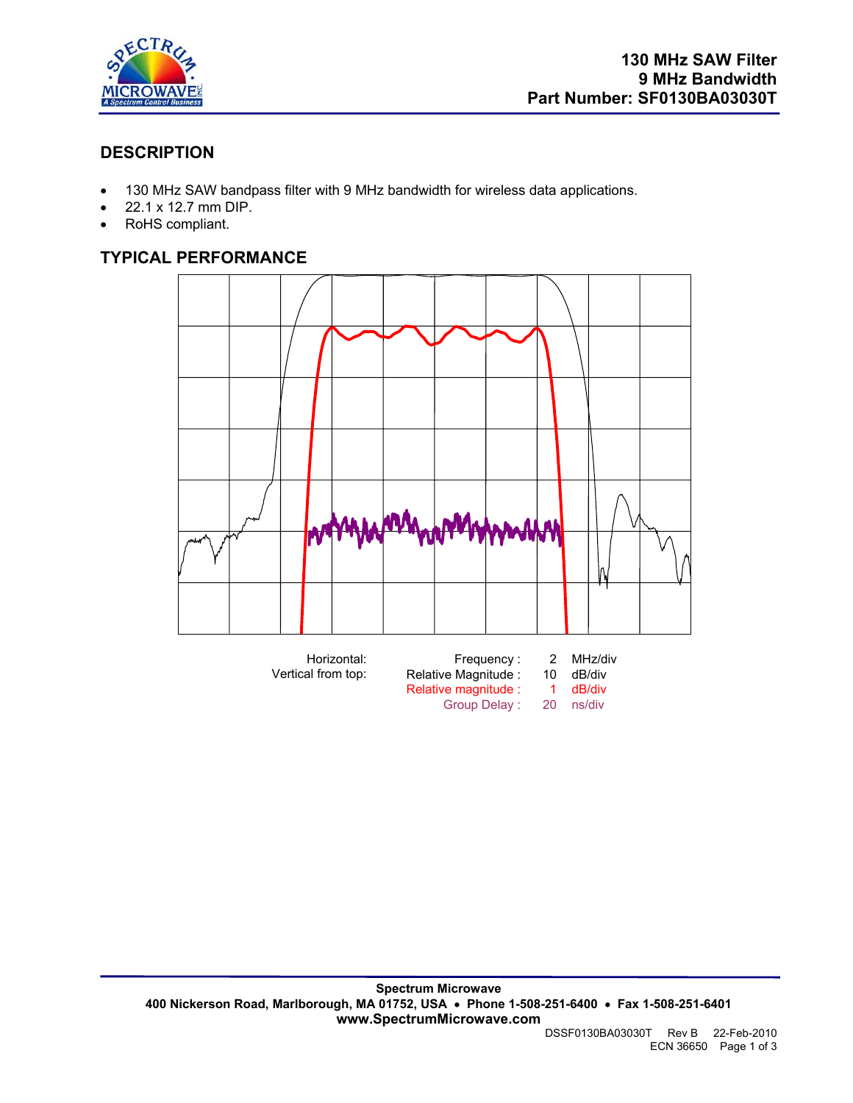

# **DESCRIPTION**

- 130 MHz SAW bandpass filter with 9 MHz bandwidth for wireless data applications.
- 22.1 x 12.7 mm DIP.
- RoHS compliant.

# **TYPICAL PERFORMANCE**



Relative magnitude : 1 dB/div<br>Group Delay : 20 ns/div Group Delay :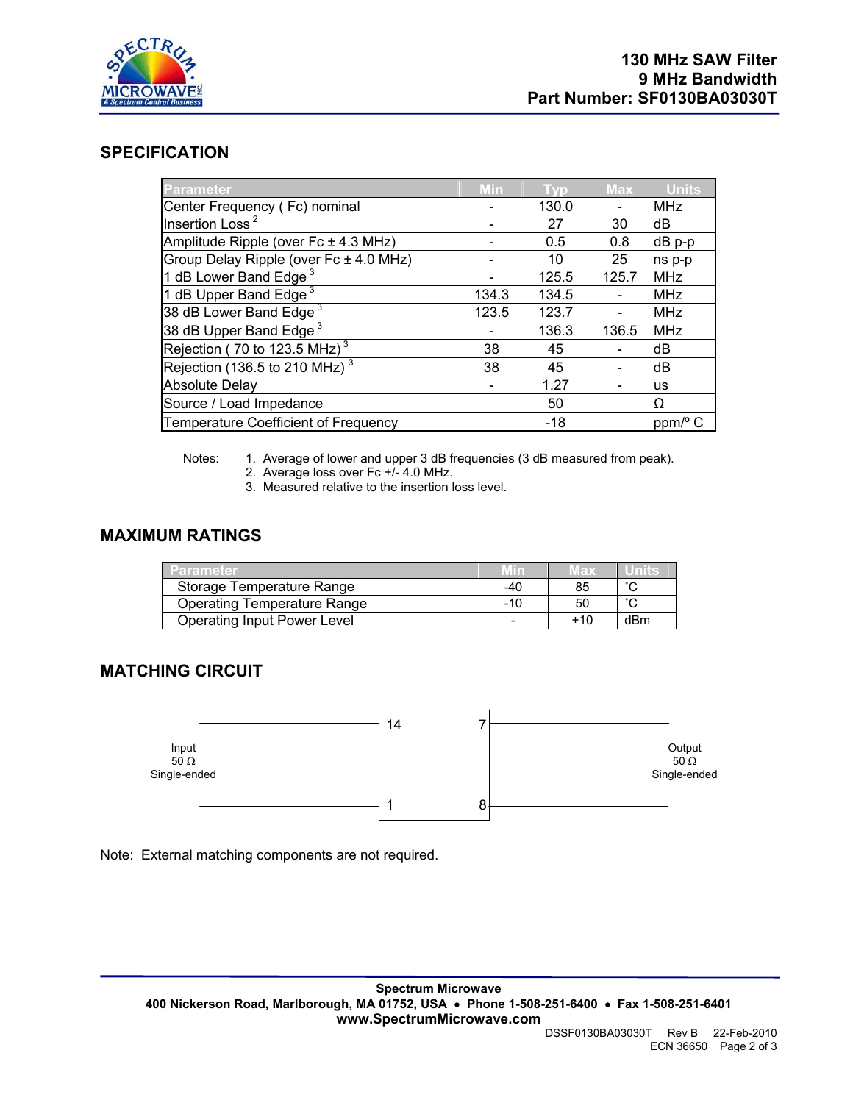

### **SPECIFICATION**

| <b>Parameter</b>                            | Min   | Tvp   | <b>Max</b> | <b>Units</b> |
|---------------------------------------------|-------|-------|------------|--------------|
| Center Frequency (Fc) nominal               |       | 130.0 |            | <b>MHz</b>   |
| Insertion Loss <sup>2</sup>                 |       | 27    | 30         | dB           |
| Amplitude Ripple (over $Fc \pm 4.3$ MHz)    |       | 0.5   | 0.8        | dB p-p       |
| Group Delay Ripple (over Fc ± 4.0 MHz)      |       | 10    | 25         | ns p-p       |
| 1 dB Lower Band Edge <sup>3</sup>           |       | 125.5 | 125.7      | <b>MHz</b>   |
| 1 dB Upper Band Edge <sup>3</sup>           | 134.3 | 134.5 |            | <b>MHz</b>   |
| 38 dB Lower Band Edge <sup>3</sup>          | 123.5 | 123.7 |            | <b>MHz</b>   |
| 38 dB Upper Band Edge <sup>3</sup>          |       | 136.3 | 136.5      | <b>MHz</b>   |
| Rejection (70 to 123.5 MHz) <sup>3</sup>    | 38    | 45    |            | dB           |
| Rejection (136.5 to 210 MHz) $^3$           | 38    | 45    |            | dB           |
| <b>Absolute Delay</b>                       |       | 1.27  |            | us           |
| Source / Load Impedance                     |       | 50    |            | Ω            |
| <b>Temperature Coefficient of Frequency</b> |       | $-18$ |            | ppm/° C      |

Notes: 1. Average of lower and upper 3 dB frequencies (3 dB measured from peak).

- 2. Average loss over Fc +/- 4.0 MHz.
- 3. Measured relative to the insertion loss level.

### **MAXIMUM RATINGS**

| 'Parameter                         | Min   | vlax |     |
|------------------------------------|-------|------|-----|
| Storage Temperature Range          | -40   | 85   |     |
| <b>Operating Temperature Range</b> | $-10$ | 50   |     |
| <b>Operating Input Power Level</b> |       | +10  | dBm |

## **MATCHING CIRCUIT**



Note: External matching components are not required.